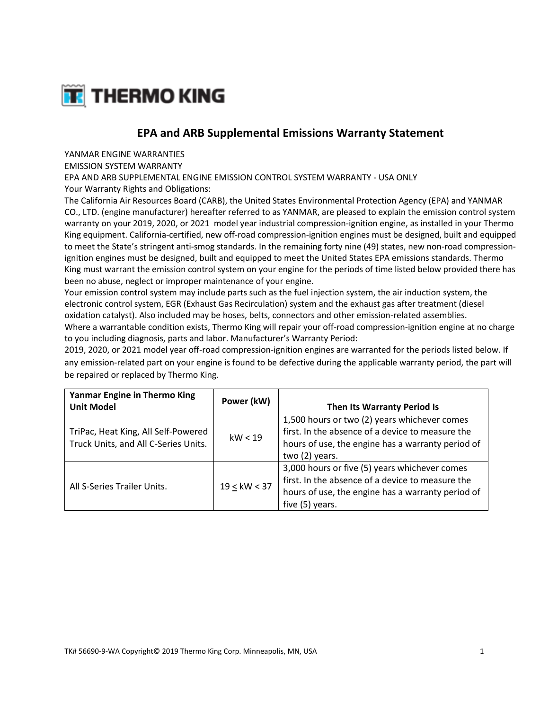

## **EPA and ARB Supplemental Emissions Warranty Statement**

YANMAR ENGINE WARRANTIES

EMISSION SYSTEM WARRANTY

EPA AND ARB SUPPLEMENTAL ENGINE EMISSION CONTROL SYSTEM WARRANTY - USA ONLY

Your Warranty Rights and Obligations:

The California Air Resources Board (CARB), the United States Environmental Protection Agency (EPA) and YANMAR CO., LTD. (engine manufacturer) hereafter referred to as YANMAR, are pleased to explain the emission control system warranty on your 2019, 2020, or 2021 model year industrial compression-ignition engine, as installed in your Thermo King equipment. California-certified, new off-road compression-ignition engines must be designed, built and equipped to meet the State's stringent anti-smog standards. In the remaining forty nine (49) states, new non-road compressionignition engines must be designed, built and equipped to meet the United States EPA emissions standards. Thermo King must warrant the emission control system on your engine for the periods of time listed below provided there has been no abuse, neglect or improper maintenance of your engine.

Your emission control system may include parts such as the fuel injection system, the air induction system, the electronic control system, EGR (Exhaust Gas Recirculation) system and the exhaust gas after treatment (diesel oxidation catalyst). Also included may be hoses, belts, connectors and other emission-related assemblies. Where a warrantable condition exists, Thermo King will repair your off-road compression-ignition engine at no charge to you including diagnosis, parts and labor. Manufacturer's Warranty Period:

2019, 2020, or 2021 model year off-road compression-ignition engines are warranted for the periods listed below. If any emission-related part on your engine is found to be defective during the applicable warranty period, the part will be repaired or replaced by Thermo King.

| <b>Yanmar Engine in Thermo King</b><br><b>Unit Model</b>                    | Power (kW)   | <b>Then Its Warranty Period Is</b>                                                                                                                                        |
|-----------------------------------------------------------------------------|--------------|---------------------------------------------------------------------------------------------------------------------------------------------------------------------------|
| TriPac, Heat King, All Self-Powered<br>Truck Units, and All C-Series Units. | kW < 19      | 1,500 hours or two (2) years whichever comes<br>first. In the absence of a device to measure the<br>hours of use, the engine has a warranty period of<br>two (2) years.   |
| All S-Series Trailer Units.                                                 | 19 < kW < 37 | 3,000 hours or five (5) years whichever comes<br>first. In the absence of a device to measure the<br>hours of use, the engine has a warranty period of<br>five (5) years. |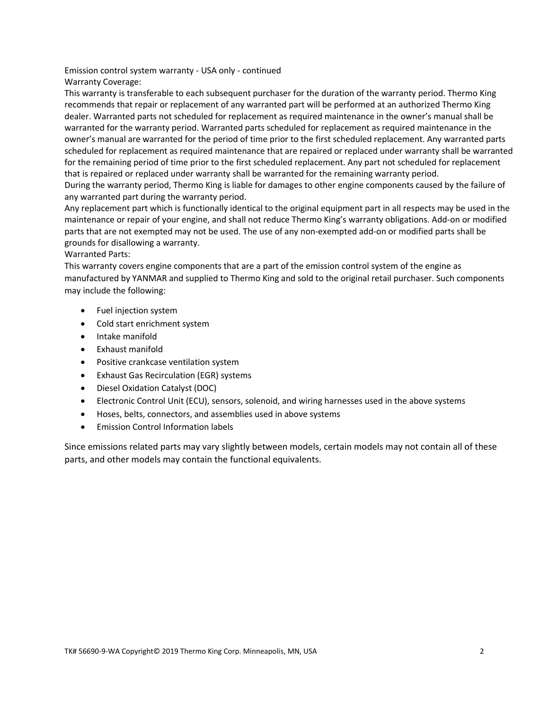Emission control system warranty - USA only - continued Warranty Coverage:

This warranty is transferable to each subsequent purchaser for the duration of the warranty period. Thermo King recommends that repair or replacement of any warranted part will be performed at an authorized Thermo King dealer. Warranted parts not scheduled for replacement as required maintenance in the owner's manual shall be warranted for the warranty period. Warranted parts scheduled for replacement as required maintenance in the owner's manual are warranted for the period of time prior to the first scheduled replacement. Any warranted parts scheduled for replacement as required maintenance that are repaired or replaced under warranty shall be warranted for the remaining period of time prior to the first scheduled replacement. Any part not scheduled for replacement that is repaired or replaced under warranty shall be warranted for the remaining warranty period.

During the warranty period, Thermo King is liable for damages to other engine components caused by the failure of any warranted part during the warranty period.

Any replacement part which is functionally identical to the original equipment part in all respects may be used in the maintenance or repair of your engine, and shall not reduce Thermo King's warranty obligations. Add-on or modified parts that are not exempted may not be used. The use of any non-exempted add-on or modified parts shall be grounds for disallowing a warranty.

## Warranted Parts:

This warranty covers engine components that are a part of the emission control system of the engine as manufactured by YANMAR and supplied to Thermo King and sold to the original retail purchaser. Such components may include the following:

- Fuel injection system
- Cold start enrichment system
- Intake manifold
- Exhaust manifold
- Positive crankcase ventilation system
- Exhaust Gas Recirculation (EGR) systems
- Diesel Oxidation Catalyst (DOC)
- Electronic Control Unit (ECU), sensors, solenoid, and wiring harnesses used in the above systems
- Hoses, belts, connectors, and assemblies used in above systems
- Emission Control Information labels

Since emissions related parts may vary slightly between models, certain models may not contain all of these parts, and other models may contain the functional equivalents.